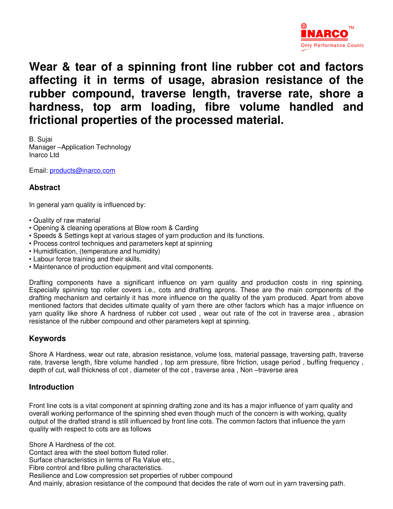

**Wear & tear of a spinning front line rubber cot and factors affecting it in terms of usage, abrasion resistance of the rubber compound, traverse length, traverse rate, shore a hardness, top arm loading, fibre volume handled and frictional properties of the processed material.** 

B. Sujai Manager –Application Technology Inarco Ltd

Email: products@inarco.com

### **Abstract**

In general yarn quality is influenced by:

- Quality of raw material
- Opening & cleaning operations at Blow room & Carding
- Speeds & Settings kept at various stages of yarn production and its functions.
- Process control techniques and parameters kept at spinning
- Humidification, (temperature and humidity)
- Labour force training and their skills.
- Maintenance of production equipment and vital components.

Drafting components have a significant influence on yarn quality and production costs in ring spinning. Especially spinning top roller covers i.e., cots and drafting aprons. These are the main components of the drafting mechanism and certainly it has more influence on the quality of the yarn produced. Apart from above mentioned factors that decides ultimate quality of yarn there are other factors which has a major influence on yarn quality like shore A hardness of rubber cot used , wear out rate of the cot in traverse area , abrasion resistance of the rubber compound and other parameters kept at spinning.

### **Keywords**

Shore A Hardness, wear out rate, abrasion resistance, volume loss, material passage, traversing path, traverse rate, traverse length, fibre volume handled , top arm pressure, fibre friction, usage period , buffing frequency , depth of cut, wall thickness of cot , diameter of the cot , traverse area , Non –traverse area

#### **Introduction**

Front line cots is a vital component at spinning drafting zone and its has a major influence of yarn quality and overall working performance of the spinning shed even though much of the concern is with working, quality output of the drafted strand is still influenced by front line cots. The common factors that influence the yarn quality with respect to cots are as follows

Shore A Hardness of the cot.

Contact area with the steel bottom fluted roller.

Surface characteristics in terms of Ra Value etc.,

Fibre control and fibre pulling characteristics.

Resilience and Low compression set properties of rubber compound

And mainly, abrasion resistance of the compound that decides the rate of worn out in yarn traversing path.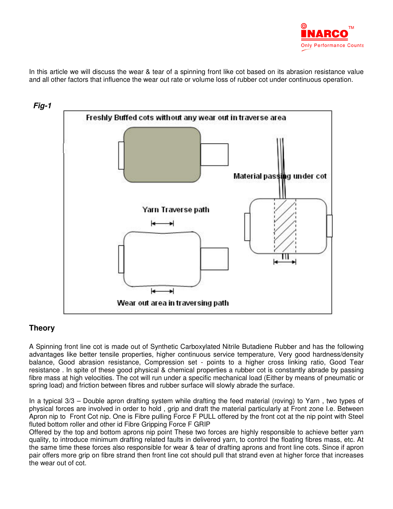

In this article we will discuss the wear & tear of a spinning front like cot based on its abrasion resistance value and all other factors that influence the wear out rate or volume loss of rubber cot under continuous operation.



## **Theory**

A Spinning front line cot is made out of Synthetic Carboxylated Nitrile Butadiene Rubber and has the following advantages like better tensile properties, higher continuous service temperature, Very good hardness/density balance, Good abrasion resistance, Compression set - points to a higher cross linking ratio, Good Tear resistance . In spite of these good physical & chemical properties a rubber cot is constantly abrade by passing fibre mass at high velocities. The cot will run under a specific mechanical load (Either by means of pneumatic or spring load) and friction between fibres and rubber surface will slowly abrade the surface.

In a typical 3/3 – Double apron drafting system while drafting the feed material (roving) to Yarn , two types of physical forces are involved in order to hold , grip and draft the material particularly at Front zone I.e. Between Apron nip to Front Cot nip. One is Fibre pulling Force F PULL offered by the front cot at the nip point with Steel fluted bottom roller and other id Fibre Gripping Force F GRIP

Offered by the top and bottom aprons nip point These two forces are highly responsible to achieve better yarn quality, to introduce minimum drafting related faults in delivered yarn, to control the floating fibres mass, etc. At the same time these forces also responsible for wear & tear of drafting aprons and front line cots. Since if apron pair offers more grip on fibre strand then front line cot should pull that strand even at higher force that increases the wear out of cot.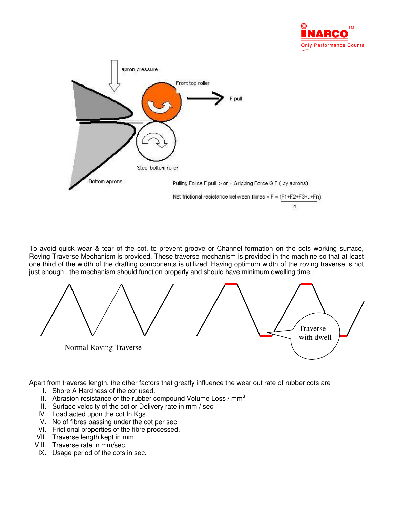



To avoid quick wear & tear of the cot, to prevent groove or Channel formation on the cots working surface, Roving Traverse Mechanism is provided. These traverse mechanism is provided in the machine so that at least one third of the width of the drafting components is utilized .Having optimum width of the roving traverse is not just enough, the mechanism should function properly and should have minimum dwelling time.



Apart from traverse length, the other factors that greatly influence the wear out rate of rubber cots are

- I. Shore A Hardness of the cot used.
- II. Abrasion resistance of the rubber compound Volume Loss /  $mm<sup>3</sup>$
- III. Surface velocity of the cot or Delivery rate in mm / sec
- IV. Load acted upon the cot In Kgs.
- V. No of fibres passing under the cot per sec
- VI. Frictional properties of the fibre processed.
- VII. Traverse length kept in mm.
- VIII. Traverse rate in mm/sec.
- IX. Usage period of the cots in sec.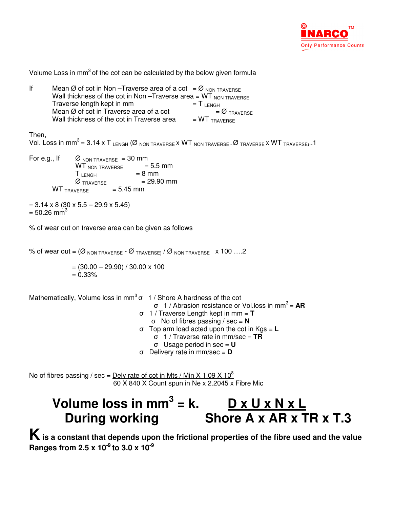

Volume Loss in  $mm<sup>3</sup>$  of the cot can be calculated by the below given formula

If Mean Ø of cot in Non –Traverse area of a cot =  $\emptyset$  NON TRAVERSE Wall thickness of the cot in Non –Traverse area =  $WT_{NON}$  Traverse<br>Traverse length kept in mm =  $T_{NOM}$  = T Traverse length kept in mm  $= T_{LENGH}$ <br>Mean Ø of cot in Traverse area of a cot  $= \emptyset$ <sub>TRAVERSE</sub> Mean Ø of cot in Traverse area of a cot  $= \emptyset$ <sub>TRA</sub><br>Wall thickness of the cot in Traverse area  $= W T_{\text{TAVERSE}}$ Wall thickness of the cot in Traverse area

Then,

Vol. Loss in mm<sup>3</sup> = 3.14 x T LENGH (Ø NON TRAVERSE x WT NON TRAVERSE - Ø TRAVERSE x WT TRAVERSE)..1

| For e.g., If | $\varnothing$ NON TRAVERSE = 30 mm |             |              |
|--------------|------------------------------------|-------------|--------------|
|              | <b>WT</b> non traverse             |             | $= 5.5$ mm   |
|              | T <sub>LENGH</sub>                 |             | $= 8$ mm     |
|              | $\emptyset$ Traverse               |             | $= 29.90$ mm |
|              | <b>WT</b> TRAVERSE                 | $= 5.45$ mm |              |

 $= 3.14 \times 8 (30 \times 5.5 - 29.9 \times 5.45)$  $= 50.26$  mm<sup>3</sup>

% of wear out on traverse area can be given as follows

% of wear out =  $(\emptyset$  NON TRAVERSE -  $\emptyset$  TRAVERSE) /  $\emptyset$  NON TRAVERSE  $\times$  100 ....2

 $= (30.00 - 29.90) / 30.00 \times 100$  $= 0.33\%$ 

Mathematically, Volume loss in mm<sup>3</sup> $\sigma$  1/ Shore A hardness of the cot

- σ 1 / Abrasion resistance or Vol.loss in mm<sup>3</sup> = **AR**
	- σ 1 / Traverse Length kept in mm = **T**
	- σ No of fibres passing / sec = **N**
	- σ Top arm load acted upon the cot in Kgs = **L**
		- σ 1 / Traverse rate in mm/sec = **TR**
		- σ Usage period in sec = **U**
	- σ Delivery rate in mm/sec = **D**

No of fibres passing / sec = Dely rate of cot in Mts / Min X 1.09 X 10 $^8$ 60 X 840 X Count spun in Ne x 2.2045 x Fibre Mic

# Volume loss in mm<sup>3</sup> = k.  $\qquad 0 \times 0 \times N \times L$ During working Shore A x AR x TR x T.3

**K is a constant that depends upon the frictional properties of the fibre used and the value Ranges from 2.5 x 10-9 to 3.0 x 10-9**